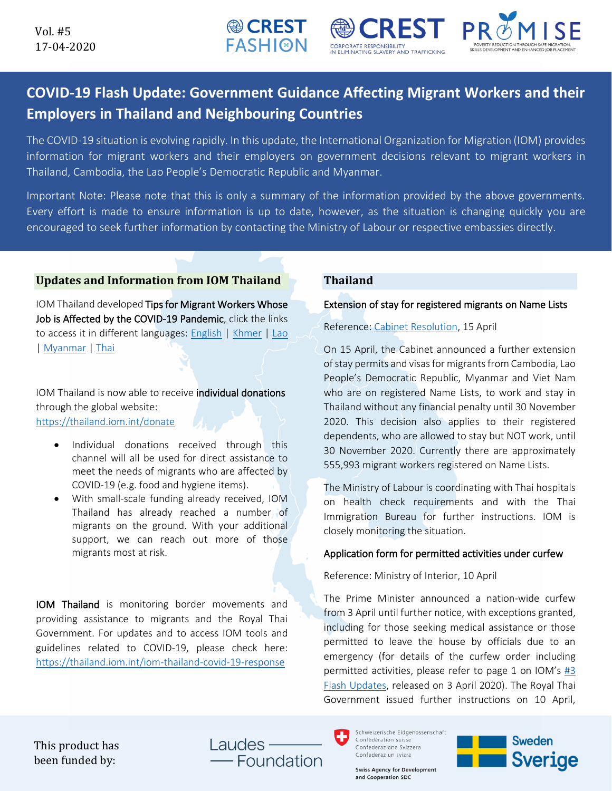

# **COVID-19 Flash Update: Government Guidance Affecting Migrant Workers and their Employers in Thailand and Neighbouring Countries**

**● CREST FASHI@N** 

The COVID-19 situation is evolving rapidly. In this update, the International Organization for Migration (IOM) provides information for migrant workers and their employers on government decisions relevant to migrant workers in Thailand, Cambodia, the Lao People's Democratic Republic and Myanmar.

Important Note: Please note that this is only a summary of the information provided by the above governments. Every effort is made to ensure information is up to date, however, as the situation is changing quickly you are encouraged to seek further information by contacting the Ministry of Labour or respective embassies directly.

## **Updates and Information from IOM Thailand**

IOM Thailand developed Tips for Migrant Workers Whose Job is Affected by the COVID-19 Pandemic, click the links to access it in different languages: [English](https://thailand.iom.int/sites/default/files/Infosheets/Info%20Sheet%20-Migrant%20Workers%20whose%20job%20is%20affected%20by%20the%20COVID-19%20pandemic_ENG.pdf) | [Khmer](https://thailand.iom.int/sites/default/files/Infosheets/Khmer-Info%20Sheet-Migrant%20worker%20whose%20job%20is%20affected%20by%20COVID-19.pdf) | [Lao](https://thailand.iom.int/sites/default/files/Infosheets/Laotian-Info%20Sheet-Migrant%20worker%20whose%20job%20is%20affected%20by%20COVID-19.pdf) [| Myanmar](https://thailand.iom.int/sites/default/files/Infosheets/Myanmar-Info%20Sheet-Migrant%20workers%20whose%20job%20is%20affected%20by%20COVID-19.pdf) | [Thai](https://thailand.iom.int/sites/default/files/Infosheets/Info%20Sheet%20-Migrant%20Workers%20whose%20job%20is%20affected%20by%20the%20COVID-19%20pandemic_THAI.pdf)

IOM Thailand is now able to receive individual donations through the global website:

<https://thailand.iom.int/donate>

- Individual donations received through this channel will all be used for direct assistance to meet the needs of migrants who are affected by COVID-19 (e.g. food and hygiene items).
- With small-scale funding already received, IOM Thailand has already reached a number of migrants on the ground. With your additional support, we can reach out more of those migrants most at risk.

IOM Thailand is monitoring border movements and providing assistance to migrants and the Royal Thai Government. For updates and to access IOM tools and guidelines related to COVID-19, please check here: <https://thailand.iom.int/iom-thailand-covid-19-response>

## **Thailand**

**CORPORATE RESPONSIBILITY** 

ELIMINATING SLAVERY AND TRAFFICKIN

#### Extension of stay for registered migrants on Name Lists

Reference[: Cabinet Resolution,](https://www.naewna.com/politic/486653) 15 April

On 15 April, the Cabinet announced a further extension of stay permits and visasfor migrants from Cambodia, Lao People's Democratic Republic, Myanmar and Viet Nam who are on registered Name Lists, to work and stay in Thailand without any financial penalty until 30 November 2020. This decision also applies to their registered dependents, who are allowed to stay but NOT work, until 30 November 2020. Currently there are approximately 555,993 migrant workers registered on Name Lists.

The Ministry of Labour is coordinating with Thai hospitals on health check requirements and with the Thai Immigration Bureau for further instructions. IOM is closely monitoring the situation.

#### Application form for permitted activities under curfew

Reference: Ministry of Interior, 10 April

The Prime Minister announced a nation-wide curfew from 3 April until further notice, with exceptions granted, including for those seeking medical assistance or those permitted to leave the house by officials due to an emergency (for details of the curfew order including permitted activities, please refer to page 1 on IOM's [#3](https://thailand.iom.int/sites/default/files/Infosheets/03-04-2020%20IOM%20Flash%20Update%20on%20Migrant%20Workers%20in%20Thailand.pdf)  [Flash Updates,](https://thailand.iom.int/sites/default/files/Infosheets/03-04-2020%20IOM%20Flash%20Update%20on%20Migrant%20Workers%20in%20Thailand.pdf) released on 3 April 2020). The Royal Thai Government issued further instructions on 10 April,

This product has been funded by:

Laudes · Foundation Schweizerische Eidgenossenschaft Confédération suisse Confederazione Svizzera Confederaziun svizra

and Cooperation SDC

**Swiss Agency for Development** 

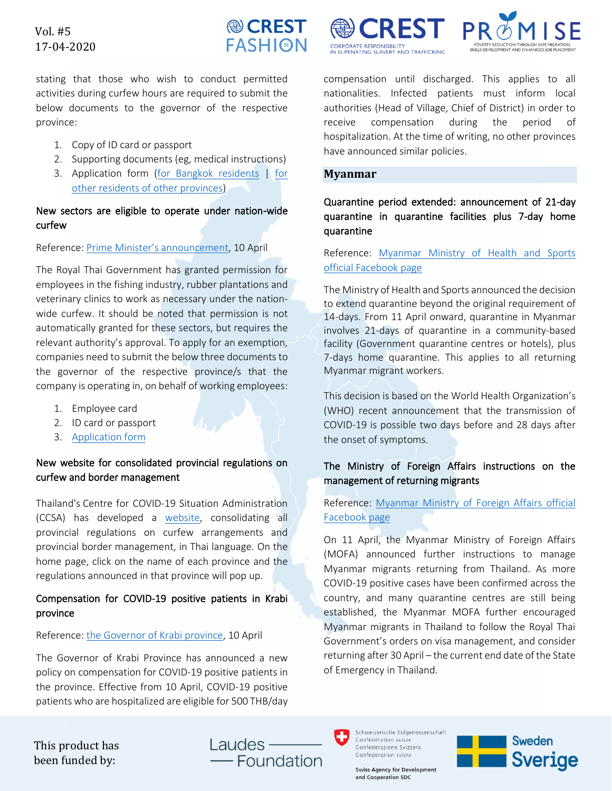## Vol. #5 17-04-2020

**● CREST FASHION** 

stating that those who wish to conduct permitted activities during curfew hours are required to submit the below documents to the governor of the respective province:

- 1. Copy of ID card or passport
- 2. Supporting documents (eg, medical instructions)
- 3. Application form [\(for Bangkok residents](https://iomint-my.sharepoint.com/:w:/g/personal/yjiang_iom_int/EXd7Li3hrZlNsGk9CjlaRbwBO9X7kiOzf-nYlVkdeT41mw?e=R6i1Hv) | [for](https://iomint-my.sharepoint.com/:w:/g/personal/yjiang_iom_int/EWFtXPL2C7hAmcNyVBW8EKsBPLMhBvSwZMQS3a9TtZsHgA?e=x3uCAu)  [other residents](https://iomint-my.sharepoint.com/:w:/g/personal/yjiang_iom_int/EWFtXPL2C7hAmcNyVBW8EKsBPLMhBvSwZMQS3a9TtZsHgA?e=x3uCAu) of other provinces)

## New sectors are eligible to operate under nation-wide curfew

#### Reference: Prime Minister's [announcement,](https://iomint-my.sharepoint.com/personal/yjiang_iom_int/_layouts/15/onedrive.aspx?id=%2Fpersonal%2Fyjiang%5Fiom%5Fint%2FDocuments%2FLHD%20COVID%20Flash%20Updates%2FOfficial%20announcements%20and%20refs%2FThailand%2F17%2D04%2FEmergency%20Exeptional&originalPath=aHR0cHM6Ly9pb21pbnQtbXkuc2hhcmVwb2ludC5jb20vOmY6L2cvcGVyc29uYWwveWppYW5nX2lvbV9pbnQvRWtoMVRKOV9FYmRJbmJOdEJwUDRpRThCcDFjc1J5Rk5hTXJRVWFKd1B2MExkZz9ydGltZT0tRDV5LWVEaDEwZw) 10 April

The Royal Thai Government has granted permission for employees in the fishing industry, rubber plantations and veterinary clinics to work as necessary under the nationwide curfew. It should be noted that permission is not automatically granted for these sectors, but requires the relevant authority's approval. To apply for an exemption, companies need to submit the below three documents to the governor of the respective province/s that the company is operating in, on behalf of working employees:

- 1. Employee card
- 2. ID card or passport
- 3. [Application form](https://iomint-my.sharepoint.com/:b:/g/personal/yjiang_iom_int/EYhoHtWoj2FFteB6C-GWxckBf5R02HMJM9N-d7QmTj9Mzw?e=bwBywT)

## New website for consolidated provincial regulations on curfew and border management

Thailand's Centre for COVID-19 Situation Administration (CCSA) has developed a [website,](http://www.moicovid.com/%E0%B8%9B%E0%B8%A3%E0%B8%B0%E0%B8%81%E0%B8%B2%E0%B8%A8-%E0%B8%84%E0%B8%B3%E0%B8%AA%E0%B8%B1%E0%B9%88%E0%B8%87%E0%B8%88%E0%B8%B1%E0%B8%87%E0%B8%AB%E0%B8%A7%E0%B8%B1%E0%B8%94/) consolidating all provincial regulations on curfew arrangements and provincial border management, in Thai language. On the home page, click on the name of each province and the regulations announced in that province will pop up.

## Compensation for COVID-19 positive patients in Krabi province

#### Reference[: the Governor of Krabi province,](https://iomint-my.sharepoint.com/:i:/g/personal/yjiang_iom_int/EZbtq3ETxqxDidJfQ8y86d0B03OkDXoRNX_AODo6CnoEkA?e=xbS9cK) 10 April

The Governor of Krabi Province has announced a new policy on compensation for COVID-19 positive patients in the province. Effective from 10 April, COVID-19 positive patients who are hospitalized are eligible for 500 THB/day compensation until discharged. This applies to all nationalities. Infected patients must inform local authorities (Head of Village, Chief of District) in order to receive compensation during the period of hospitalization. At the time of writing, no other provinces have announced similar policies.

#### **Myanmar**

**CORPORATE RESPONSIBILITY** 

Quarantine period extended: announcement of 21-day quarantine in quarantine facilities plus 7-day home quarantine

Reference: [Myanmar Ministry of Health and Sports](https://m.facebook.com/story.php?story_fbid=3318627498166532&id=199295433433103)  [official Facebook page](https://m.facebook.com/story.php?story_fbid=3318627498166532&id=199295433433103)

The Ministry of Health and Sports announced the decision to extend quarantine beyond the original requirement of 14-days. From 11 April onward, quarantine in Myanmar involves 21-days of quarantine in a community-based facility (Government quarantine centres or hotels), plus 7-days home quarantine. This applies to all returning Myanmar migrant workers.

This decision is based on the World Health Organization's (WHO) recent announcement that the transmission of COVID-19 is possible two days before and 28 days after the onset of symptoms.

## The Ministry of Foreign Affairs instructions on the management of returning migrants

## Reference: [Myanmar Ministry of Foreign Affairs official](https://www.facebook.com/513368565530110/posts/1433903213476636/)  [Facebook page](https://www.facebook.com/513368565530110/posts/1433903213476636/)

On 11 April, the Myanmar Ministry of Foreign Affairs (MOFA) announced further instructions to manage Myanmar migrants returning from Thailand. As more COVID-19 positive cases have been confirmed across the country, and many quarantine centres are still being established, the Myanmar MOFA further encouraged Myanmar migrants in Thailand to follow the Royal Thai Government's orders on visa management, and consider returning after 30 April – the current end date of the State of Emergency in Thailand.

This product has been funded by:

Laudes -- Foundation Schweizerische Eidgenossenschaft Confédération suisse Confederazione Svizzera Confederaziun svizra

**Swiss Agency for Development** and Cooperation SDC